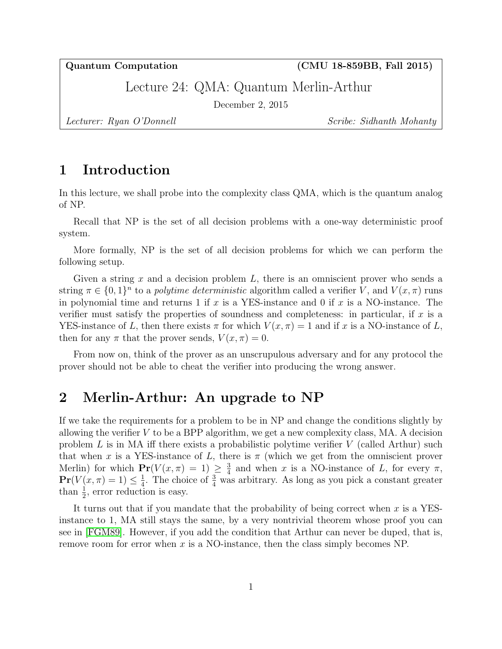Quantum Computation (CMU 18-859BB, Fall 2015)

Lecture 24: QMA: Quantum Merlin-Arthur

December 2, 2015

Lecturer: Ryan O'Donnell Scribe: Sidhanth Mohanty

# 1 Introduction

In this lecture, we shall probe into the complexity class QMA, which is the quantum analog of NP.

Recall that NP is the set of all decision problems with a one-way deterministic proof system.

More formally, NP is the set of all decision problems for which we can perform the following setup.

Given a string x and a decision problem  $L$ , there is an omniscient prover who sends a string  $\pi \in \{0,1\}^n$  to a *polytime deterministic* algorithm called a verifier V, and  $V(x,\pi)$  runs in polynomial time and returns 1 if x is a YES-instance and 0 if x is a NO-instance. The verifier must satisfy the properties of soundness and completeness: in particular, if  $x$  is a YES-instance of L, then there exists  $\pi$  for which  $V(x, \pi) = 1$  and if x is a NO-instance of L, then for any  $\pi$  that the prover sends,  $V(x, \pi) = 0$ .

From now on, think of the prover as an unscrupulous adversary and for any protocol the prover should not be able to cheat the verifier into producing the wrong answer.

### 2 Merlin-Arthur: An upgrade to NP

If we take the requirements for a problem to be in NP and change the conditions slightly by allowing the verifier  $V$  to be a BPP algorithm, we get a new complexity class, MA. A decision problem  $L$  is in MA iff there exists a probabilistic polytime verifier  $V$  (called Arthur) such that when x is a YES-instance of L, there is  $\pi$  (which we get from the omniscient prover Merlin) for which  $Pr(V(x, \pi) = 1) \geq \frac{3}{4}$  $\frac{3}{4}$  and when x is a NO-instance of L, for every  $\pi$ ,  $Pr(V(x, \pi) = 1) \leq \frac{1}{4}$  $\frac{1}{4}$ . The choice of  $\frac{3}{4}$  was arbitrary. As long as you pick a constant greater than  $\frac{1}{2}$ , error reduction is easy.

It turns out that if you mandate that the probability of being correct when  $x$  is a YESinstance to 1, MA still stays the same, by a very nontrivial theorem whose proof you can see in [\[FGM89\]](#page-7-0). However, if you add the condition that Arthur can never be duped, that is, remove room for error when  $x$  is a NO-instance, then the class simply becomes NP.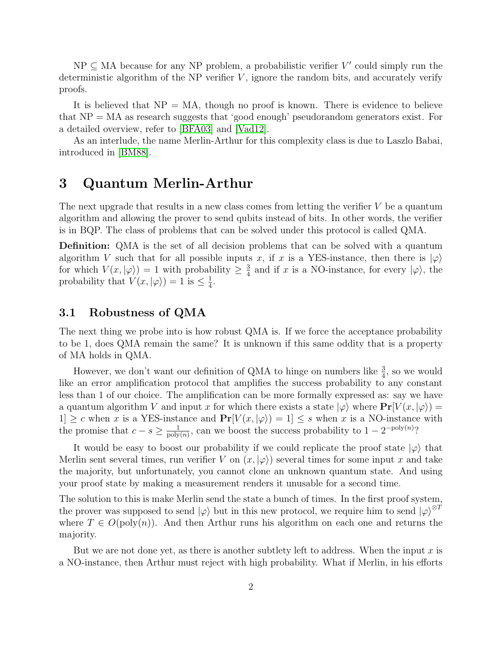$NP \subseteq MA$  because for any NP problem, a probabilistic verifier V' could simply run the deterministic algorithm of the NP verifier  $V$ , ignore the random bits, and accurately verify proofs.

It is believed that  $NP = MA$ , though no proof is known. There is evidence to believe that NP = MA as research suggests that 'good enough' pseudorandom generators exist. For a detailed overview, refer to [\[BFA03\]](#page-6-0) and [\[Vad12\]](#page-7-1).

As an interlude, the name Merlin-Arthur for this complexity class is due to Laszlo Babai, introduced in [\[BM88\]](#page-7-2).

## 3 Quantum Merlin-Arthur

The next upgrade that results in a new class comes from letting the verifier  $V$  be a quantum algorithm and allowing the prover to send qubits instead of bits. In other words, the verifier is in BQP. The class of problems that can be solved under this protocol is called QMA.

Definition: QMA is the set of all decision problems that can be solved with a quantum algorithm V such that for all possible inputs x, if x is a YES-instance, then there is  $|\varphi\rangle$ for which  $V(x, |\varphi\rangle) = 1$  with probability  $\geq \frac{3}{4}$  $\frac{3}{4}$  and if x is a NO-instance, for every  $|\varphi\rangle$ , the probability that  $V(x, |\varphi\rangle) = 1$  is  $\leq \frac{1}{4}$  $\frac{1}{4}$ .

### 3.1 Robustness of QMA

The next thing we probe into is how robust QMA is. If we force the acceptance probability to be 1, does QMA remain the same? It is unknown if this same oddity that is a property of MA holds in QMA.

However, we don't want our definition of QMA to hinge on numbers like  $\frac{3}{4}$ , so we would like an error amplification protocol that amplifies the success probability to any constant less than 1 of our choice. The amplification can be more formally expressed as: say we have a quantum algorithm V and input x for which there exists a state  $|\varphi\rangle$  where  $Pr[V(x, |\varphi\rangle)$  =  $1] \geq c$  when x is a YES-instance and  $Pr[V(x, |\varphi\rangle) = 1] \leq s$  when x is a NO-instance with the promise that  $c - s \geq \frac{1}{\text{poly}}$  $\frac{1}{\text{poly}(n)}$ , can we boost the success probability to  $1 - 2^{-\text{poly}(n)}$ ?

It would be easy to boost our probability if we could replicate the proof state  $|\varphi\rangle$  that Merlin sent several times, run verifier V on  $(x, |\varphi\rangle)$  several times for some input x and take the majority, but unfortunately, you cannot clone an unknown quantum state. And using your proof state by making a measurement renders it unusable for a second time.

The solution to this is make Merlin send the state a bunch of times. In the first proof system, the prover was supposed to send  $|\varphi\rangle$  but in this new protocol, we require him to send  $|\varphi\rangle^{\otimes T}$ where  $T \in O(\text{poly}(n))$ . And then Arthur runs his algorithm on each one and returns the majority.

But we are not done yet, as there is another subtlety left to address. When the input  $x$  is a NO-instance, then Arthur must reject with high probability. What if Merlin, in his efforts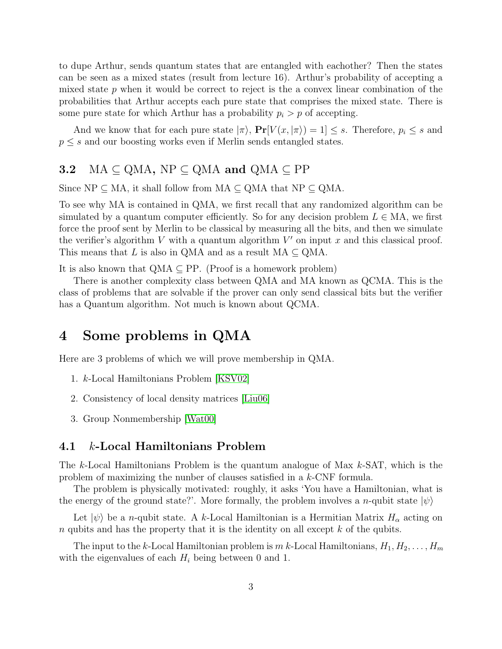to dupe Arthur, sends quantum states that are entangled with eachother? Then the states can be seen as a mixed states (result from lecture 16). Arthur's probability of accepting a mixed state  $p$  when it would be correct to reject is the a convex linear combination of the probabilities that Arthur accepts each pure state that comprises the mixed state. There is some pure state for which Arthur has a probability  $p_i > p$  of accepting.

And we know that for each pure state  $|\pi\rangle$ ,  $Pr[V(x, |\pi\rangle) = 1] \leq s$ . Therefore,  $p_i \leq s$  and  $p \leq s$  and our boosting works even if Merlin sends entangled states.

## 3.2 MA  $\subseteq$  QMA, NP  $\subseteq$  QMA and QMA  $\subseteq$  PP

Since  $NP \subseteq MA$ , it shall follow from  $MA \subseteq QMA$  that  $NP \subseteq QMA$ .

To see why MA is contained in QMA, we first recall that any randomized algorithm can be simulated by a quantum computer efficiently. So for any decision problem  $L \in MA$ , we first force the proof sent by Merlin to be classical by measuring all the bits, and then we simulate the verifier's algorithm  $V$  with a quantum algorithm  $V'$  on input  $x$  and this classical proof. This means that L is also in QMA and as a result  $MA \subseteq QMA$ .

It is also known that  $QMA \subseteq PP$ . (Proof is a homework problem)

There is another complexity class between QMA and MA known as QCMA. This is the class of problems that are solvable if the prover can only send classical bits but the verifier has a Quantum algorithm. Not much is known about QCMA.

## 4 Some problems in QMA

Here are 3 problems of which we will prove membership in QMA.

- 1. k-Local Hamiltonians Problem [\[KSV02\]](#page-7-3)
- 2. Consistency of local density matrices [\[Liu06\]](#page-7-4)
- 3. Group Nonmembership [\[Wat00\]](#page-7-5)

### 4.1 k-Local Hamiltonians Problem

The k-Local Hamiltonians Problem is the quantum analogue of Max  $k$ -SAT, which is the problem of maximizing the nunber of clauses satisfied in a k-CNF formula.

The problem is physically motivated: roughly, it asks 'You have a Hamiltonian, what is the energy of the ground state?'. More formally, the problem involves a *n*-qubit state  $|\psi\rangle$ 

Let  $|\psi\rangle$  be a *n*-qubit state. A k-Local Hamiltonian is a Hermitian Matrix  $H_{\alpha}$  acting on  $n$  qubits and has the property that it is the identity on all except  $k$  of the qubits.

The input to the k-Local Hamiltonian problem is  $m$  k-Local Hamiltonians,  $H_1, H_2, \ldots, H_m$ with the eigenvalues of each  $H_i$  being between 0 and 1.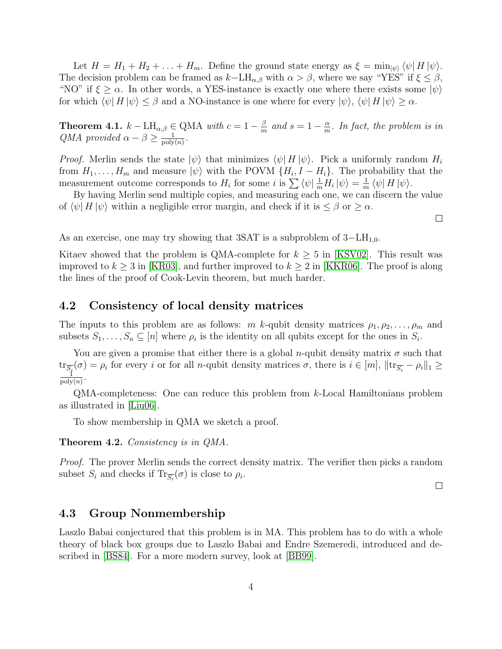Let  $H = H_1 + H_2 + \ldots + H_m$ . Define the ground state energy as  $\xi = \min_{|\psi\rangle} \langle \psi | H | \psi \rangle$ . The decision problem can be framed as  $k-\text{LH}_{\alpha,\beta}$  with  $\alpha > \beta$ , where we say "YES" if  $\xi \leq \beta$ , "NO" if  $\xi \geq \alpha$ . In other words, a YES-instance is exactly one where there exists some  $|\psi\rangle$ for which  $\langle \psi | H | \psi \rangle \leq \beta$  and a NO-instance is one where for every  $|\psi\rangle$ ,  $\langle \psi | H | \psi \rangle \geq \alpha$ .

**Theorem 4.1.**  $k - LH_{\alpha,\beta} \in QMA$  with  $c = 1 - \frac{\beta}{m}$  $\frac{\beta}{m}$  and  $s=1-\frac{\alpha}{m}$  $\frac{\alpha}{m}$ . In fact, the problem is in QMA provided  $\alpha - \beta \geq \frac{1}{\text{poly}}$  $\frac{1}{\text{poly}(n)}$ .

*Proof.* Merlin sends the state  $|\psi\rangle$  that minimizes  $\langle \psi | H | \psi \rangle$ . Pick a uniformly random  $H_i$ from  $H_1, \ldots, H_m$  and measure  $|\psi\rangle$  with the POVM  $\{H_i, I - H_i\}$ . The probability that the measurement outcome corresponds to  $H_i$  for some i is  $\sum \langle \psi | \frac{1}{m} H_i | \psi \rangle = \frac{1}{m}$  $\frac{1}{m}\bra{\psi}H\ket{\psi}.$ 

By having Merlin send multiple copies, and measuring each one, we can discern the value of  $\langle \psi | H | \psi \rangle$  within a negligible error margin, and check if it is  $\leq \beta$  or  $\geq \alpha$ .

As an exercise, one may try showing that 3SAT is a subproblem of  $3-\text{LH}_{1,0}$ .

Kitaev showed that the problem is QMA-complete for  $k \geq 5$  in [\[KSV02\]](#page-7-3). This result was improved to  $k \geq 3$  in [\[KR03\]](#page-7-6), and further improved to  $k \geq 2$  in [\[KKR06\]](#page-7-7). The proof is along the lines of the proof of Cook-Levin theorem, but much harder.

### 4.2 Consistency of local density matrices

The inputs to this problem are as follows: m k-qubit density matrices  $\rho_1, \rho_2, \ldots, \rho_m$  and subsets  $S_1, \ldots, S_n \subseteq [n]$  where  $\rho_i$  is the identity on all qubits except for the ones in  $S_i$ .

You are given a promise that either there is a global *n*-qubit density matrix  $\sigma$  such that  $\text{tr}_{\overline{S_i}}(\sigma) = \rho_i$  for every i or for all n-qubit density matrices  $\sigma$ , there is  $i \in [m]$ ,  $||\text{tr}_{\overline{S_i}} - \rho_i||_1 \ge$  $\frac{1}{\text{poly}(n)}$ .

QMA-completeness: One can reduce this problem from k-Local Hamiltonians problem as illustrated in [\[Liu06\]](#page-7-4).

To show membership in QMA we sketch a proof.

Theorem 4.2. Consistency is in QMA.

*Proof.* The prover Merlin sends the correct density matrix. The verifier then picks a random subset  $S_i$  and checks if  $\text{Tr}_{\overline{S_i}}(\sigma)$  is close to  $\rho_i$ .

 $\Box$ 

### 4.3 Group Nonmembership

Laszlo Babai conjectured that this problem is in MA. This problem has to do with a whole theory of black box groups due to Laszlo Babai and Endre Szemeredi, introduced and described in [\[BS84\]](#page-7-8). For a more modern survey, look at [\[BB99\]](#page-6-1).

 $\Box$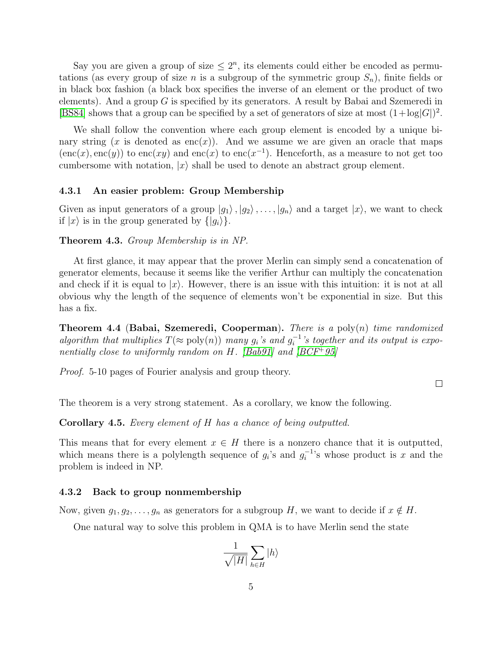Say you are given a group of size  $\leq 2^n$ , its elements could either be encoded as permutations (as every group of size n is a subgroup of the symmetric group  $S_n$ ), finite fields or in black box fashion (a black box specifies the inverse of an element or the product of two elements). And a group  $G$  is specified by its generators. A result by Babai and Szemeredi in [\[BS84\]](#page-7-8) shows that a group can be specified by a set of generators of size at most  $(1 + \log|G|)^2$ .

We shall follow the convention where each group element is encoded by a unique binary string  $(x \text{ is denoted as } \text{enc}(x))$ . And we assume we are given an oracle that maps  $(enc(x), enc(y))$  to  $enc(xy)$  and  $enc(x)$  to  $enc(x^{-1})$ . Henceforth, as a measure to not get too cumbersome with notation,  $|x\rangle$  shall be used to denote an abstract group element.

#### 4.3.1 An easier problem: Group Membership

Given as input generators of a group  $|g_1\rangle, |g_2\rangle, \ldots, |g_n\rangle$  and a target  $|x\rangle$ , we want to check if  $|x\rangle$  is in the group generated by  $\{|q_i\rangle\}$ .

#### Theorem 4.3. Group Membership is in NP.

At first glance, it may appear that the prover Merlin can simply send a concatenation of generator elements, because it seems like the verifier Arthur can multiply the concatenation and check if it is equal to  $|x\rangle$ . However, there is an issue with this intuition: it is not at all obvious why the length of the sequence of elements won't be exponential in size. But this has a fix.

**Theorem 4.4 (Babai, Szemeredi, Cooperman).** There is a poly $(n)$  time randomized algorithm that multiplies  $T(\approx \text{poly}(n))$  many  $g_i$ 's and  $g_i^{-1}$  $i^{-1}$ 's together and its output is expo-nentially close to uniformly random on H. [\[Bab91\]](#page-6-2) and  $|BCF^+95|$ 

Proof. 5-10 pages of Fourier analysis and group theory.

 $\Box$ 

The theorem is a very strong statement. As a corollary, we know the following.

Corollary 4.5. Every element of H has a chance of being outputted.

This means that for every element  $x \in H$  there is a nonzero chance that it is outputted, which means there is a polylength sequence of  $g_i$ 's and  $g_i^{-1}$  $i^{-1}$ 's whose product is x and the problem is indeed in NP.

#### 4.3.2 Back to group nonmembership

Now, given  $g_1, g_2, \ldots, g_n$  as generators for a subgroup H, we want to decide if  $x \notin H$ .

One natural way to solve this problem in QMA is to have Merlin send the state

$$
\frac{1}{\sqrt{|H|}}\sum_{h\in H}|h\rangle
$$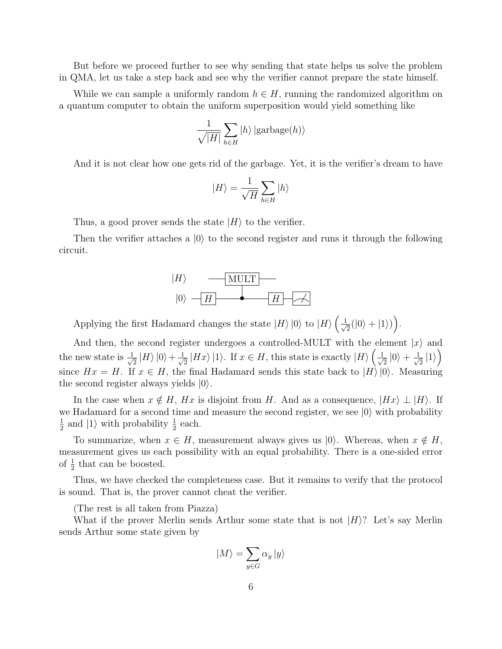But before we proceed further to see why sending that state helps us solve the problem in QMA, let us take a step back and see why the verifier cannot prepare the state himself.

While we can sample a uniformly random  $h \in H$ , running the randomized algorithm on a quantum computer to obtain the uniform superposition would yield something like

$$
\frac{1}{\sqrt{|H|}}\sum_{h\in H}|h\rangle\left|\text{garbage}(h)\right\rangle
$$

And it is not clear how one gets rid of the garbage. Yet, it is the verifier's dream to have

$$
|H\rangle=\frac{1}{\sqrt{H}}\sum_{h\in H}|h\rangle
$$

Thus, a good prover sends the state  $|H\rangle$  to the verifier.

Then the verifier attaches a  $|0\rangle$  to the second register and runs it through the following circuit.



Applying the first Hadamard changes the state  $|H\rangle |0\rangle$  to  $|H\rangle \left(\frac{1}{\sqrt{2}}\right)$  $\frac{1}{2}(|0\rangle + |1\rangle)\bigg).$ 

And then, the second register undergoes a controlled-MULT with the element  $|x\rangle$  and the new state is  $\frac{1}{\sqrt{2}}$  $\frac{1}{2}\ket{H}\ket{0}+\frac{1}{\sqrt{2}}$  $\frac{1}{2}$   $|Hx\rangle$  |1). If  $x \in H$ , this state is exactly  $|H\rangle$   $\left(\frac{1}{\sqrt{2}}\right)$  $\frac{1}{2}|0\rangle + \frac{1}{\sqrt{2}}$  $\frac{1}{2}$   $|1\rangle$ since  $Hx = H$ . If  $x \in H$ , the final Hadamard sends this state back to  $|H\rangle |0\rangle$ . Measuring the second register always yields  $|0\rangle$ .

In the case when  $x \notin H$ ,  $Hx$  is disjoint from H. And as a consequence,  $|Hx\rangle \perp |H\rangle$ . If we Hadamard for a second time and measure the second register, we see  $|0\rangle$  with probability 1  $\frac{1}{2}$  and  $|1\rangle$  with probability  $\frac{1}{2}$  each.

To summarize, when  $x \in H$ , measurement always gives us  $|0\rangle$ . Whereas, when  $x \notin H$ , measurement gives us each possibility with an equal probability. There is a one-sided error of  $\frac{1}{2}$  that can be boosted.

Thus, we have checked the completeness case. But it remains to verify that the protocol is sound. That is, the prover cannot cheat the verifier.

(The rest is all taken from Piazza)

What if the prover Merlin sends Arthur some state that is not  $|H\rangle$ ? Let's say Merlin sends Arthur some state given by

$$
|M\rangle = \sum_{y \in G} \alpha_y \, |y\rangle
$$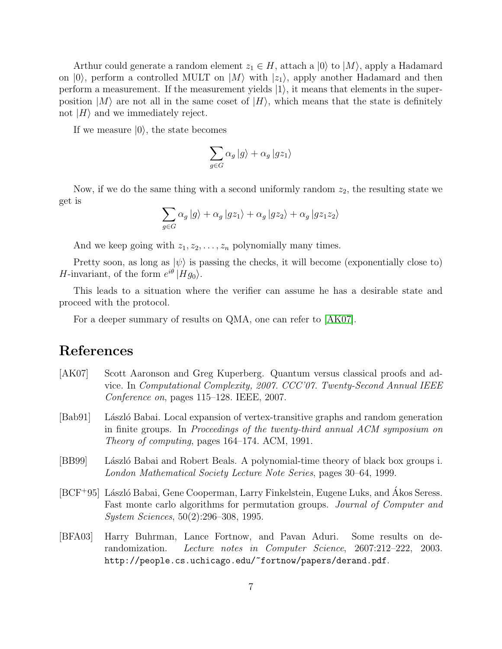Arthur could generate a random element  $z_1 \in H$ , attach a  $|0\rangle$  to  $|M\rangle$ , apply a Hadamard on  $|0\rangle$ , perform a controlled MULT on  $|M\rangle$  with  $|z_1\rangle$ , apply another Hadamard and then perform a measurement. If the measurement yields  $|1\rangle$ , it means that elements in the superposition  $|M\rangle$  are not all in the same coset of  $|H\rangle$ , which means that the state is definitely not  $|H\rangle$  and we immediately reject.

If we measure  $|0\rangle$ , the state becomes

$$
\sum_{g \in G} \alpha_g \ket{g} + \alpha_g \ket{gz_1}
$$

Now, if we do the same thing with a second uniformly random  $z_2$ , the resulting state we get is

$$
\sum_{g \in G} \alpha_g \ket{g} + \alpha_g \ket{gz_1} + \alpha_g \ket{gz_2} + \alpha_g \ket{gz_1z_2}
$$

And we keep going with  $z_1, z_2, \ldots, z_n$  polynomially many times.

Pretty soon, as long as  $|\psi\rangle$  is passing the checks, it will become (exponentially close to) *H*-invariant, of the form  $e^{i\theta}$  |*Hg*<sub>0</sub> $\rangle$ .

This leads to a situation where the verifier can assume he has a desirable state and proceed with the protocol.

For a deeper summary of results on QMA, one can refer to [\[AK07\]](#page-6-4).

### References

- <span id="page-6-4"></span>[AK07] Scott Aaronson and Greg Kuperberg. Quantum versus classical proofs and advice. In Computational Complexity, 2007. CCC'07. Twenty-Second Annual IEEE Conference on, pages 115–128. IEEE, 2007.
- <span id="page-6-2"></span>[Bab91] László Babai. Local expansion of vertex-transitive graphs and random generation in finite groups. In Proceedings of the twenty-third annual ACM symposium on Theory of computing, pages 164–174. ACM, 1991.
- <span id="page-6-1"></span>[BB99] László Babai and Robert Beals. A polynomial-time theory of black box groups i. London Mathematical Society Lecture Note Series, pages 30–64, 1999.
- <span id="page-6-3"></span>[BCF+95] László Babai, Gene Cooperman, Larry Finkelstein, Eugene Luks, and Akos Seress. Fast monte carlo algorithms for permutation groups. Journal of Computer and System Sciences, 50(2):296–308, 1995.
- <span id="page-6-0"></span>[BFA03] Harry Buhrman, Lance Fortnow, and Pavan Aduri. Some results on derandomization. Lecture notes in Computer Science, 2607:212–222, 2003. http://people.cs.uchicago.edu/~fortnow/papers/derand.pdf.